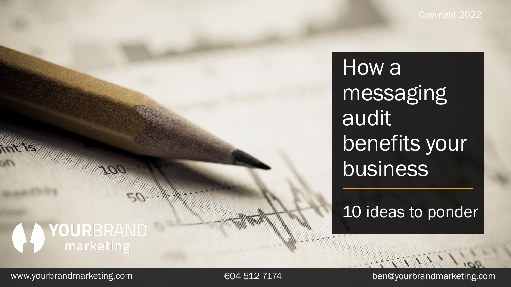How a messaging audit benefits your business

10 ideas to ponder

**AWANN** 

### **AD YOUR**BRAND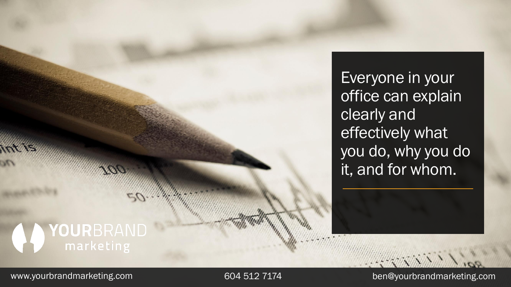Everyone in your office can explain clearly and effectively what you do, why you do it, and for whom.

## **A YOUR**BRAND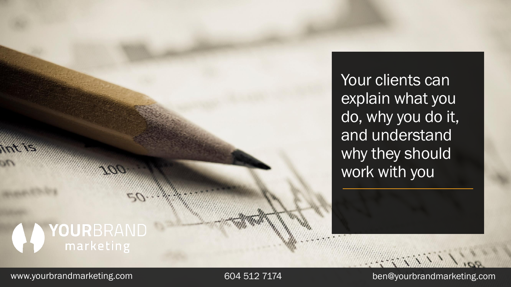Your clients can explain what you do, why you do it, and understand why they should work with you

## YOURBRAND<br>
marketing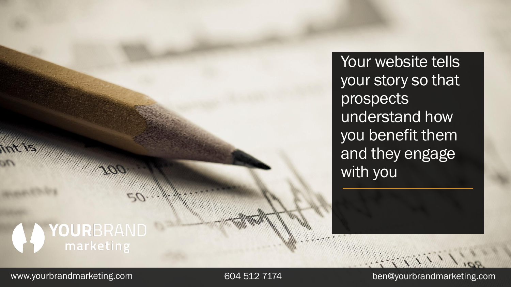Your website tells your story so that prospects understand how you benefit them and they engage with you

# YOURBRAND<br>
marketing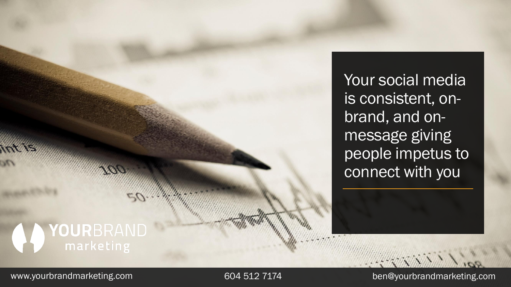Your social media is consistent, onbrand, and onmessage giving people impetus to connect with you

# YOURBRAND<br>
marketing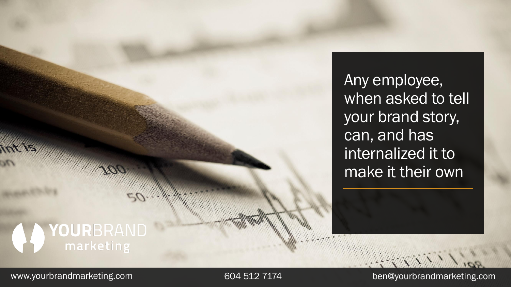Any employee, when asked to tell your brand story, can, and has internalized it to make it their own

### YOURBRAND<br>
marketing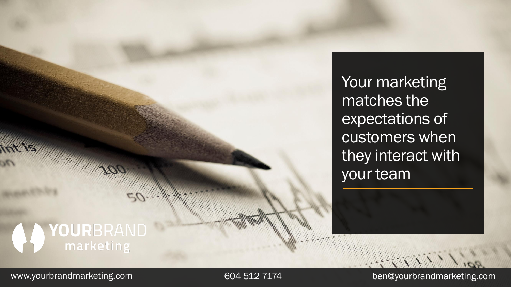Your marketing matches the expectations of customers when they interact with your team

# YOURBRAND<br>
marketing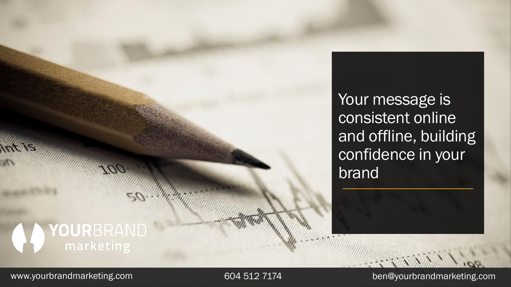Your message is consistent online and offline, building confidence in your brand

# YOURBRAND<br>
marketing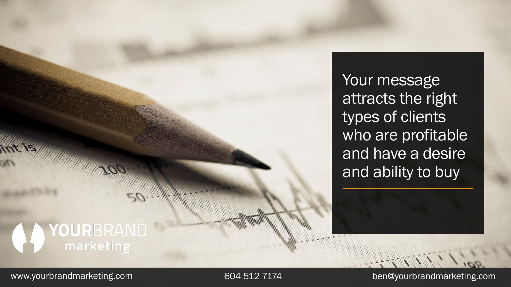Your message attracts the right types of clients who are profitable and have a desire and ability to buy

## YOURBRAND<br>Marketing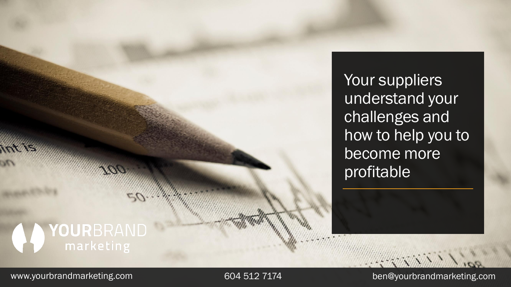Your suppliers understand your challenges and how to help you to become more profitable

# YOURBRAND<br>
marketing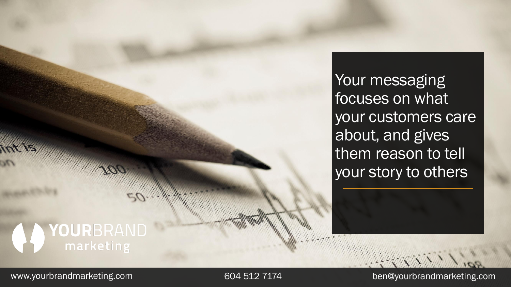Your messaging focuses on what your customers care about, and gives them reason to tell your story to others

### YOURBRAND<br>Marketing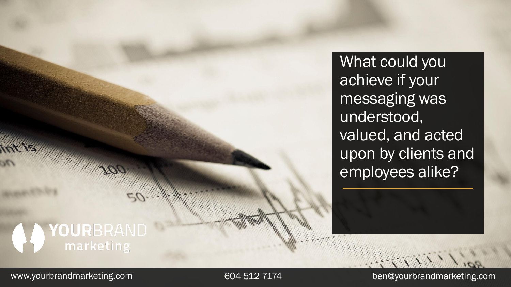What could you achieve if your messaging was understood, valued, and acted upon by clients and employees alike?

## YOURBRAND<br>
marketing